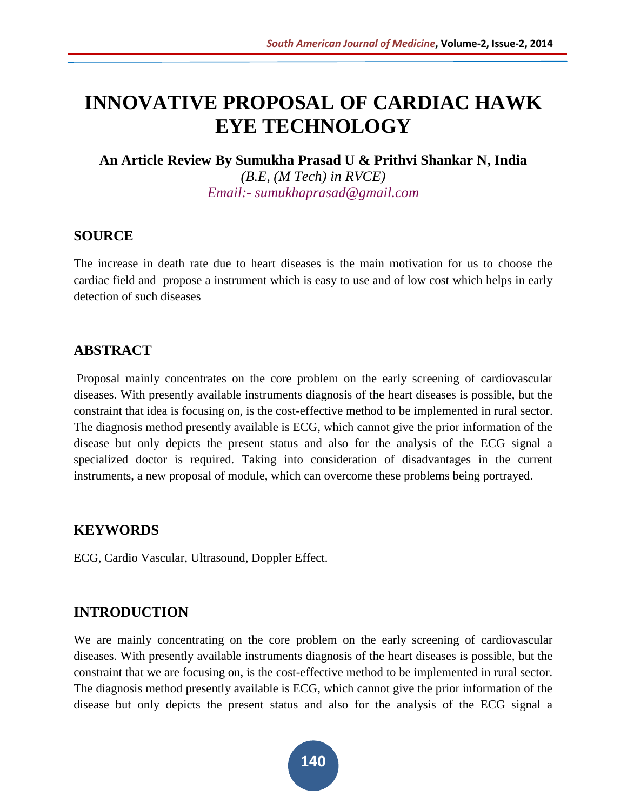# **INNOVATIVE PROPOSAL OF CARDIAC HAWK EYE TECHNOLOGY**

**An Article Review By Sumukha Prasad U & Prithvi Shankar N, India** *(B.E, (M Tech) in RVCE) Email:- sumukhaprasad@gmail.com*

#### **SOURCE**

The increase in death rate due to heart diseases is the main motivation for us to choose the cardiac field and propose a instrument which is easy to use and of low cost which helps in early detection of such diseases

# **ABSTRACT**

Proposal mainly concentrates on the core problem on the early screening of cardiovascular diseases. With presently available instruments diagnosis of the heart diseases is possible, but the constraint that idea is focusing on, is the cost-effective method to be implemented in rural sector. The diagnosis method presently available is ECG, which cannot give the prior information of the disease but only depicts the present status and also for the analysis of the ECG signal a specialized doctor is required. Taking into consideration of disadvantages in the current instruments, a new proposal of module, which can overcome these problems being portrayed.

# **KEYWORDS**

ECG, Cardio Vascular, Ultrasound, Doppler Effect.

# **INTRODUCTION**

We are mainly concentrating on the core problem on the early screening of cardiovascular diseases. With presently available instruments diagnosis of the heart diseases is possible, but the constraint that we are focusing on, is the cost-effective method to be implemented in rural sector. The diagnosis method presently available is ECG, which cannot give the prior information of the disease but only depicts the present status and also for the analysis of the ECG signal a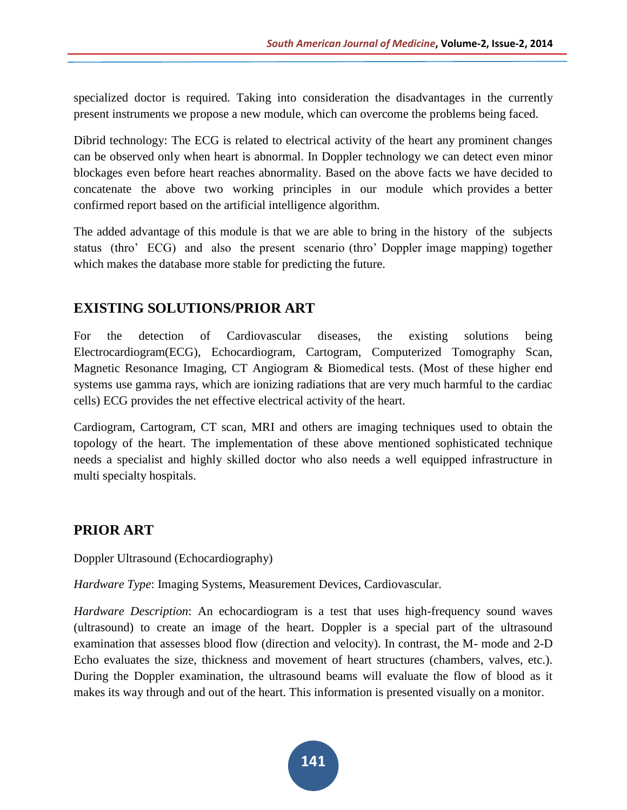specialized doctor is required. Taking into consideration the disadvantages in the currently present instruments we propose a new module, which can overcome the problems being faced.

Dibrid technology: The ECG is related to electrical activity of the heart any prominent changes can be observed only when heart is abnormal. In Doppler technology we can detect even minor blockages even before heart reaches abnormality. Based on the above facts we have decided to concatenate the above two working principles in our module which provides a better confirmed report based on the artificial intelligence algorithm.

The added advantage of this module is that we are able to bring in the history of the subjects status (thro' ECG) and also the present scenario (thro' Doppler image mapping) together which makes the database more stable for predicting the future.

# **EXISTING SOLUTIONS/PRIOR ART**

For the detection of Cardiovascular diseases, the existing solutions being Electrocardiogram(ECG), Echocardiogram, Cartogram, Computerized Tomography Scan, Magnetic Resonance Imaging, CT Angiogram & Biomedical tests. (Most of these higher end systems use gamma rays, which are ionizing radiations that are very much harmful to the cardiac cells) ECG provides the net effective electrical activity of the heart.

Cardiogram, Cartogram, CT scan, MRI and others are imaging techniques used to obtain the topology of the heart. The implementation of these above mentioned sophisticated technique needs a specialist and highly skilled doctor who also needs a well equipped infrastructure in multi specialty hospitals.

# **PRIOR ART**

Doppler Ultrasound (Echocardiography)

*Hardware Type*: Imaging Systems, Measurement Devices, Cardiovascular.

*Hardware Description*: An echocardiogram is a test that uses high-frequency sound waves (ultrasound) to create an image of the heart. Doppler is a special part of the ultrasound examination that assesses blood flow (direction and velocity). In contrast, the M- mode and 2-D Echo evaluates the size, thickness and movement of heart structures (chambers, valves, etc.). During the Doppler examination, the ultrasound beams will evaluate the flow of blood as it makes its way through and out of the heart. This information is presented visually on a monitor.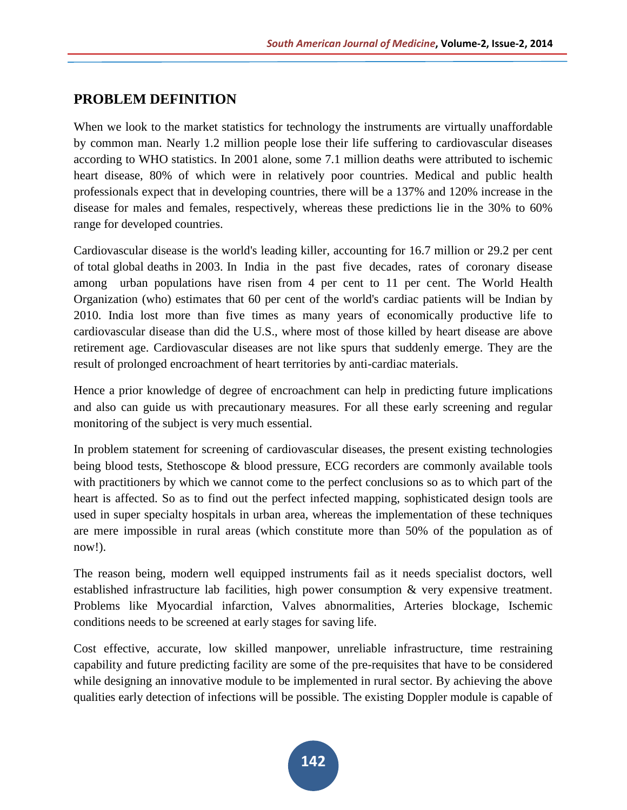# **PROBLEM DEFINITION**

When we look to the market statistics for technology the instruments are virtually unaffordable by common man. Nearly 1.2 million people lose their life suffering to cardiovascular diseases according to WHO statistics. In 2001 alone, some 7.1 million deaths were attributed to ischemic heart disease, 80% of which were in relatively poor countries. Medical and public health professionals expect that in developing countries, there will be a 137% and 120% increase in the disease for males and females, respectively, whereas these predictions lie in the 30% to 60% range for developed countries.

Cardiovascular disease is the world's leading killer, accounting for 16.7 million or 29.2 per cent of total global deaths in 2003. In India in the past five decades, rates of coronary disease among urban populations have risen from 4 per cent to 11 per cent. The World Health Organization (who) estimates that 60 per cent of the world's cardiac patients will be Indian by 2010. India lost more than five times as many years of economically productive life to cardiovascular disease than did the U.S., where most of those killed by heart disease are above retirement age. Cardiovascular diseases are not like spurs that suddenly emerge. They are the result of prolonged encroachment of heart territories by anti-cardiac materials.

Hence a prior knowledge of degree of encroachment can help in predicting future implications and also can guide us with precautionary measures. For all these early screening and regular monitoring of the subject is very much essential.

In problem statement for screening of cardiovascular diseases, the present existing technologies being blood tests, Stethoscope & blood pressure, ECG recorders are commonly available tools with practitioners by which we cannot come to the perfect conclusions so as to which part of the heart is affected. So as to find out the perfect infected mapping, sophisticated design tools are used in super specialty hospitals in urban area, whereas the implementation of these techniques are mere impossible in rural areas (which constitute more than 50% of the population as of now!).

The reason being, modern well equipped instruments fail as it needs specialist doctors, well established infrastructure lab facilities, high power consumption & very expensive treatment. Problems like Myocardial infarction, Valves abnormalities, Arteries blockage, Ischemic conditions needs to be screened at early stages for saving life.

Cost effective, accurate, low skilled manpower, unreliable infrastructure, time restraining capability and future predicting facility are some of the pre-requisites that have to be considered while designing an innovative module to be implemented in rural sector. By achieving the above qualities early detection of infections will be possible. The existing Doppler module is capable of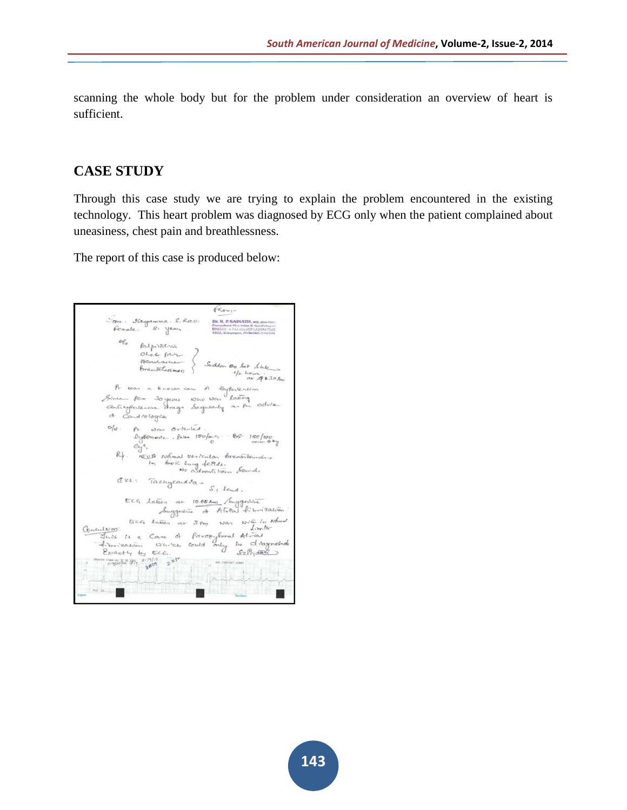scanning the whole body but for the problem under consideration an overview of heart is sufficient.

#### **CASE STUDY**

Through this case study we are trying to explain the problem encountered in the existing technology. This heart problem was diagnosed by ECG only when the patient complained about uneasiness, chest pain and breathlessness.

The report of this case is produced below:

 $f_{\kappa_{\sigma_{n-1}}}$ Som - Notegotowina. S. R.C.O. DE R. BSAINATH, 40, 1801141.<br>Formale - 8: Year - BUREAU PRIMERISON DESCRIPTION of falpitation Palpitation<br>Cheer pair<br>Acadamento } Suddon of bet bire<br>Broadsteament } Suddon of bet bire A was a known case of differention<br>Since for 30 years who was latery<br>anticypertensine drags hagenously as fur advise  $\sigma_{\theta}$ .  $\rho_{r}$  was orderled. by Ermade. Palla 150/ord, - 80-180/100<br>Cys,<br>Rf. RCB Notwal vesicular breathfounds In from lung fellds. Sounds  $\sigma_{\text{V1}} = \frac{1}{\text{Renyeand}} \sigma_{\text{R}} + \frac{1}{\sigma_{\text{R}}}$ ECG Labon at 10.00 Am Augustine  $\frac{U}{d\cos\theta}$  at  $3\epsilon_{m}$  was writing to Normal Conculsion: listor is a Care of *Paropylomal Atmostration*<br>Historically by ECC.<br>Ebsactly by ECC.<br>Composity by ECC. 四性  $\alpha$  in  $\alpha$  . ш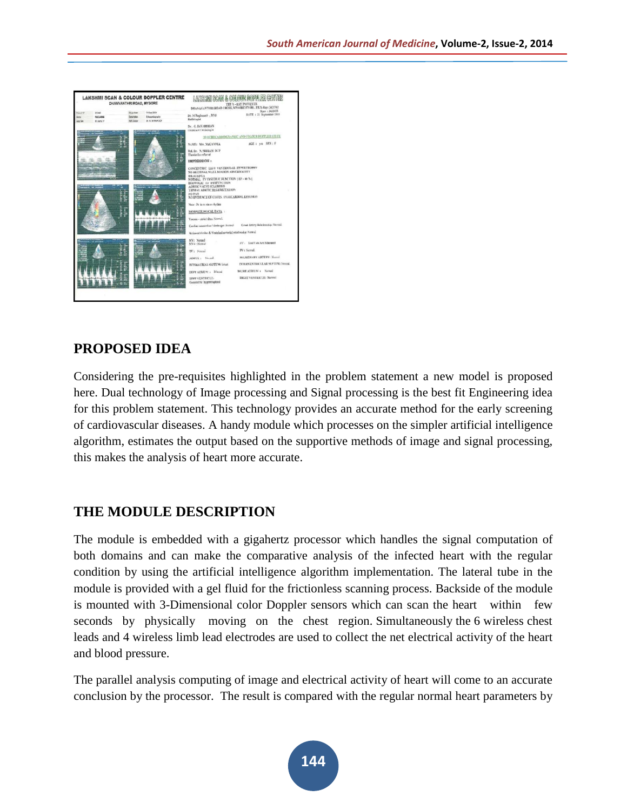

#### **PROPOSED IDEA**

Considering the pre-requisites highlighted in the problem statement a new model is proposed here. Dual technology of Image processing and Signal processing is the best fit Engineering idea for this problem statement. This technology provides an accurate method for the early screening of cardiovascular diseases. A handy module which processes on the simpler artificial intelligence algorithm, estimates the output based on the supportive methods of image and signal processing, this makes the analysis of heart more accurate.

# **THE MODULE DESCRIPTION**

The module is embedded with a gigahertz processor which handles the signal computation of both domains and can make the comparative analysis of the infected heart with the regular condition by using the artificial intelligence algorithm implementation. The lateral tube in the module is provided with a gel fluid for the frictionless scanning process. Backside of the module is mounted with 3-Dimensional color Doppler sensors which can scan the heart within few seconds by physically moving on the chest region. Simultaneously the 6 wireless chest leads and 4 wireless limb lead electrodes are used to collect the net electrical activity of the heart and blood pressure.

The parallel analysis computing of image and electrical activity of heart will come to an accurate conclusion by the processor. The result is compared with the regular normal heart parameters by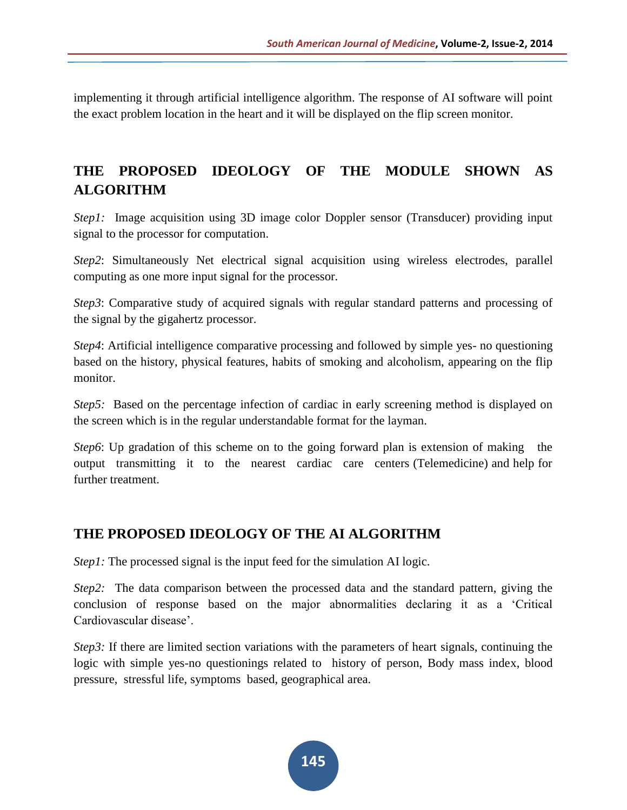implementing it through artificial intelligence algorithm. The response of AI software will point the exact problem location in the heart and it will be displayed on the flip screen monitor.

# **THE PROPOSED IDEOLOGY OF THE MODULE SHOWN AS ALGORITHM**

*Step1*: Image acquisition using 3D image color Doppler sensor (Transducer) providing input signal to the processor for computation.

*Step2*: Simultaneously Net electrical signal acquisition using wireless electrodes, parallel computing as one more input signal for the processor.

*Step3*: Comparative study of acquired signals with regular standard patterns and processing of the signal by the gigahertz processor.

*Step4*: Artificial intelligence comparative processing and followed by simple yes- no questioning based on the history, physical features, habits of smoking and alcoholism, appearing on the flip monitor.

*Step5:* Based on the percentage infection of cardiac in early screening method is displayed on the screen which is in the regular understandable format for the layman.

*Step6*: Up gradation of this scheme on to the going forward plan is extension of making the output transmitting it to the nearest cardiac care centers (Telemedicine) and help for further treatment.

# **THE PROPOSED IDEOLOGY OF THE AI ALGORITHM**

*Step1*: The processed signal is the input feed for the simulation AI logic.

*Step2:* The data comparison between the processed data and the standard pattern, giving the conclusion of response based on the major abnormalities declaring it as a 'Critical Cardiovascular disease'.

*Step3*: If there are limited section variations with the parameters of heart signals, continuing the logic with simple yes-no questionings related to history of person, Body mass index, blood pressure, stressful life, symptoms based, geographical area.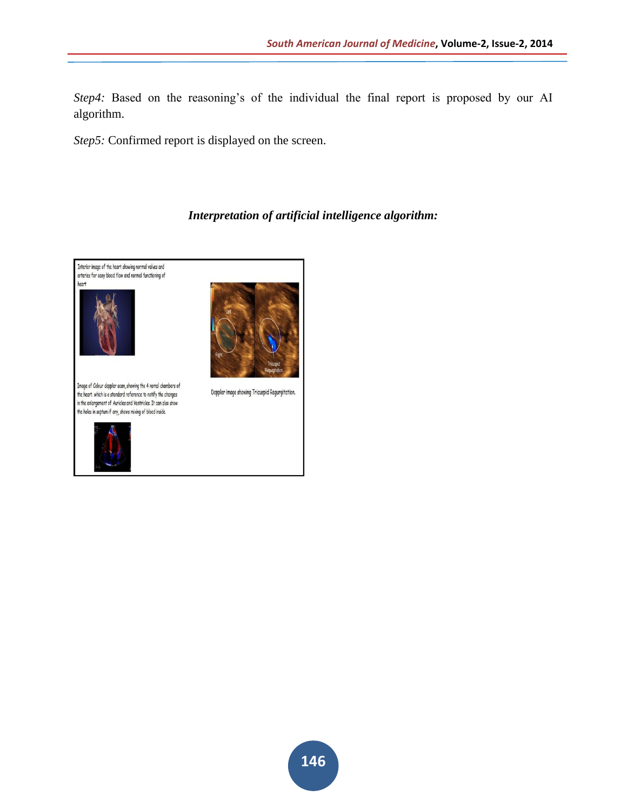*Step4:* Based on the reasoning's of the individual the final report is proposed by our AI algorithm.

*Step5:* Confirmed report is displayed on the screen.

#### *Interpretation of artificial intelligence algorithm:*

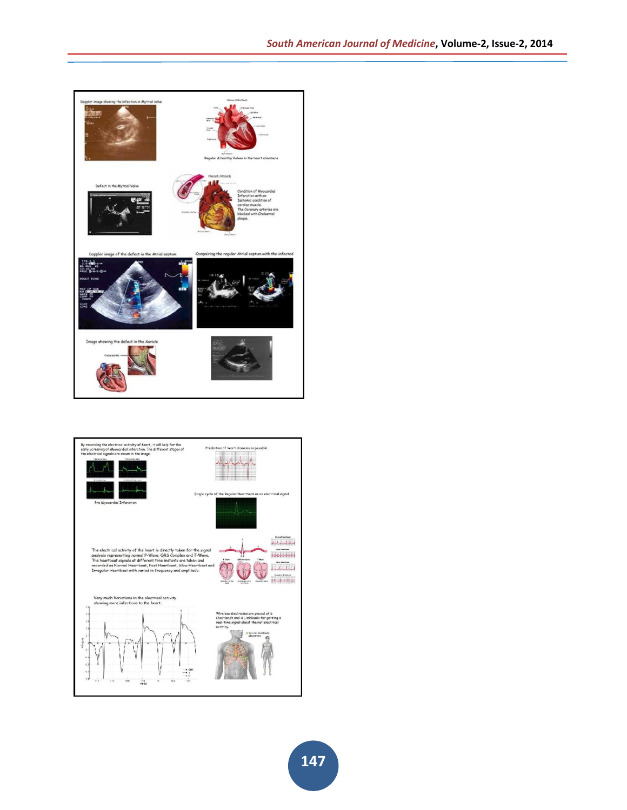

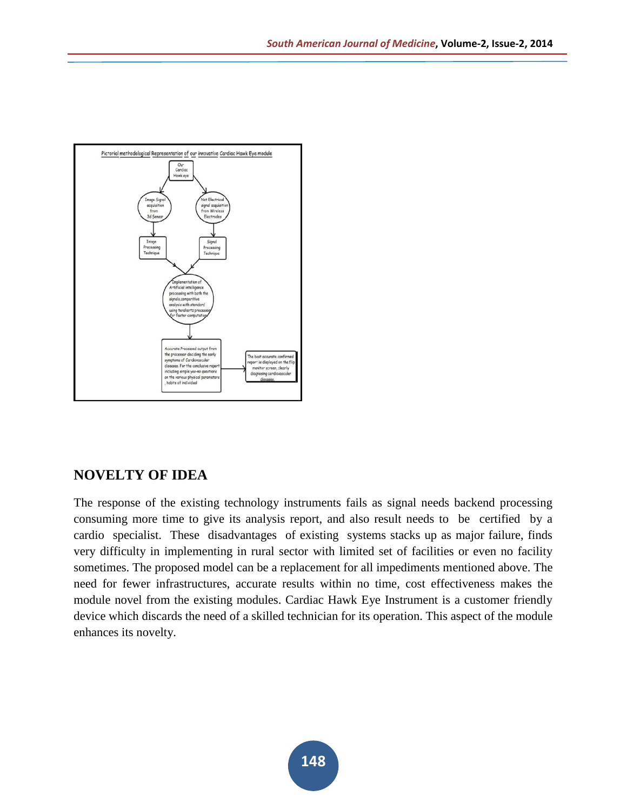

# **NOVELTY OF IDEA**

The response of the existing technology instruments fails as signal needs backend processing consuming more time to give its analysis report, and also result needs to be certified by a cardio specialist. These disadvantages of existing systems stacks up as major failure, finds very difficulty in implementing in rural sector with limited set of facilities or even no facility sometimes. The proposed model can be a replacement for all impediments mentioned above. The need for fewer infrastructures, accurate results within no time, cost effectiveness makes the module novel from the existing modules. Cardiac Hawk Eye Instrument is a customer friendly device which discards the need of a skilled technician for its operation. This aspect of the module enhances its novelty.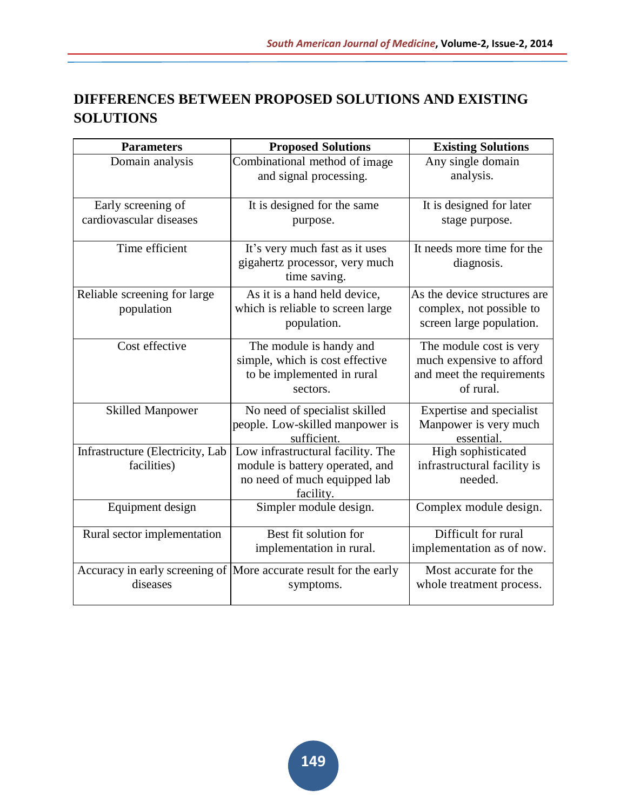# **DIFFERENCES BETWEEN PROPOSED SOLUTIONS AND EXISTING SOLUTIONS**

| <b>Parameters</b>                | <b>Proposed Solutions</b>                                          | <b>Existing Solutions</b>    |
|----------------------------------|--------------------------------------------------------------------|------------------------------|
| Domain analysis                  | Combinational method of image                                      | Any single domain            |
|                                  | and signal processing.                                             | analysis.                    |
|                                  |                                                                    |                              |
| Early screening of               | It is designed for the same                                        | It is designed for later     |
| cardiovascular diseases          | purpose.                                                           | stage purpose.               |
| Time efficient                   | It's very much fast as it uses                                     | It needs more time for the   |
|                                  | gigahertz processor, very much                                     | diagnosis.                   |
|                                  | time saving.                                                       |                              |
| Reliable screening for large     | As it is a hand held device,                                       | As the device structures are |
| population                       | which is reliable to screen large                                  | complex, not possible to     |
|                                  | population.                                                        | screen large population.     |
| Cost effective                   | The module is handy and                                            | The module cost is very      |
|                                  | simple, which is cost effective                                    | much expensive to afford     |
|                                  | to be implemented in rural                                         | and meet the requirements    |
|                                  | sectors.                                                           | of rural.                    |
| <b>Skilled Manpower</b>          | No need of specialist skilled                                      | Expertise and specialist     |
|                                  | people. Low-skilled manpower is                                    | Manpower is very much        |
|                                  | sufficient.                                                        | essential.                   |
| Infrastructure (Electricity, Lab | Low infrastructural facility. The                                  | High sophisticated           |
| facilities)                      | module is battery operated, and                                    | infrastructural facility is  |
|                                  | no need of much equipped lab                                       | needed.                      |
| Equipment design                 | facility.<br>Simpler module design.                                | Complex module design.       |
|                                  |                                                                    |                              |
| Rural sector implementation      | Best fit solution for                                              | Difficult for rural          |
|                                  | implementation in rural.                                           | implementation as of now.    |
|                                  | Accuracy in early screening of  More accurate result for the early | Most accurate for the        |
| diseases                         | symptoms.                                                          | whole treatment process.     |
|                                  |                                                                    |                              |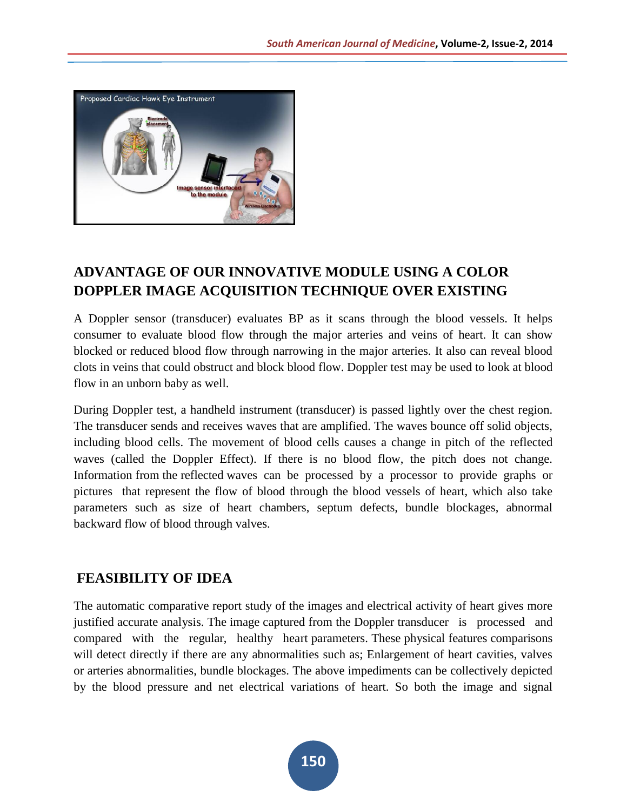

# **ADVANTAGE OF OUR INNOVATIVE MODULE USING A COLOR DOPPLER IMAGE ACQUISITION TECHNIQUE OVER EXISTING**

A Doppler sensor (transducer) evaluates BP as it scans through the blood vessels. It helps consumer to evaluate blood flow through the major arteries and veins of heart. It can show blocked or reduced blood flow through narrowing in the major arteries. It also can reveal blood clots in veins that could obstruct and block blood flow. Doppler test may be used to look at blood flow in an unborn baby as well.

During Doppler test, a handheld instrument (transducer) is passed lightly over the chest region. The transducer sends and receives waves that are amplified. The waves bounce off solid objects, including blood cells. The movement of blood cells causes a change in pitch of the reflected waves (called the Doppler Effect). If there is no blood flow, the pitch does not change. Information from the reflected waves can be processed by a processor to provide graphs or pictures that represent the flow of blood through the blood vessels of heart, which also take parameters such as size of heart chambers, septum defects, bundle blockages, abnormal backward flow of blood through valves.

# **FEASIBILITY OF IDEA**

The automatic comparative report study of the images and electrical activity of heart gives more justified accurate analysis. The image captured from the Doppler transducer is processed and compared with the regular, healthy heart parameters. These physical features comparisons will detect directly if there are any abnormalities such as; Enlargement of heart cavities, valves or arteries abnormalities, bundle blockages. The above impediments can be collectively depicted by the blood pressure and net electrical variations of heart. So both the image and signal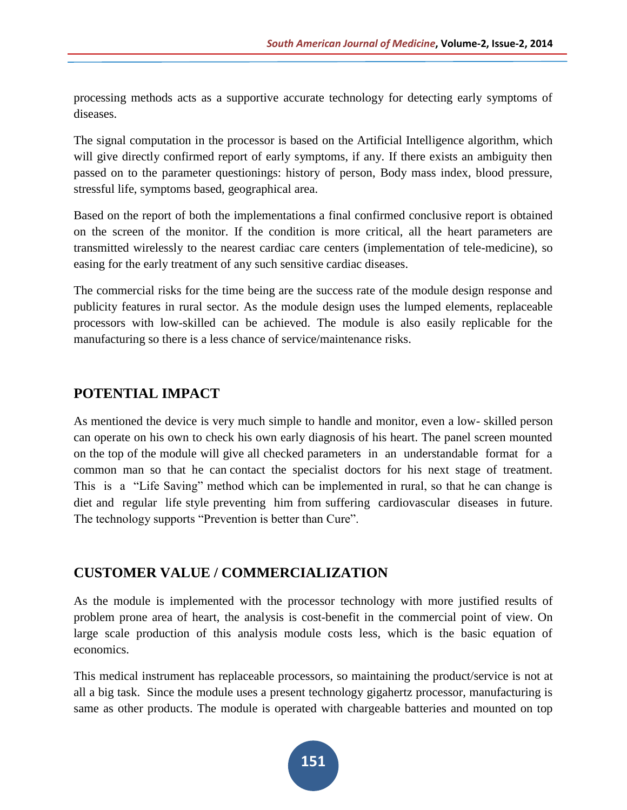processing methods acts as a supportive accurate technology for detecting early symptoms of diseases.

The signal computation in the processor is based on the Artificial Intelligence algorithm, which will give directly confirmed report of early symptoms, if any. If there exists an ambiguity then passed on to the parameter questionings: history of person, Body mass index, blood pressure, stressful life, symptoms based, geographical area.

Based on the report of both the implementations a final confirmed conclusive report is obtained on the screen of the monitor. If the condition is more critical, all the heart parameters are transmitted wirelessly to the nearest cardiac care centers (implementation of tele-medicine), so easing for the early treatment of any such sensitive cardiac diseases.

The commercial risks for the time being are the success rate of the module design response and publicity features in rural sector. As the module design uses the lumped elements, replaceable processors with low-skilled can be achieved. The module is also easily replicable for the manufacturing so there is a less chance of service/maintenance risks.

# **POTENTIAL IMPACT**

As mentioned the device is very much simple to handle and monitor, even a low- skilled person can operate on his own to check his own early diagnosis of his heart. The panel screen mounted on the top of the module will give all checked parameters in an understandable format for a common man so that he can contact the specialist doctors for his next stage of treatment. This is a "Life Saving" method which can be implemented in rural, so that he can change is diet and regular life style preventing him from suffering cardiovascular diseases in future. The technology supports "Prevention is better than Cure".

# **CUSTOMER VALUE / COMMERCIALIZATION**

As the module is implemented with the processor technology with more justified results of problem prone area of heart, the analysis is cost-benefit in the commercial point of view. On large scale production of this analysis module costs less, which is the basic equation of economics.

This medical instrument has replaceable processors, so maintaining the product/service is not at all a big task. Since the module uses a present technology gigahertz processor, manufacturing is same as other products. The module is operated with chargeable batteries and mounted on top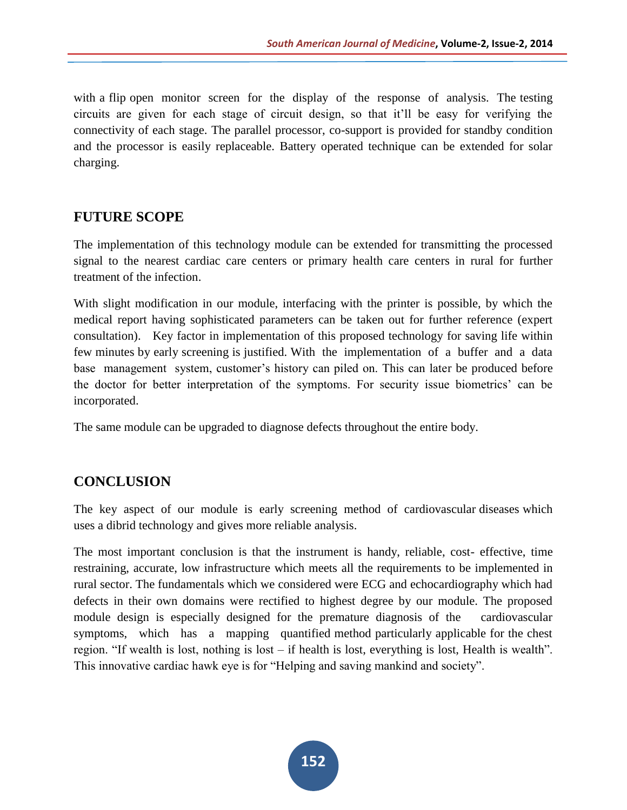with a flip open monitor screen for the display of the response of analysis. The testing circuits are given for each stage of circuit design, so that it'll be easy for verifying the connectivity of each stage. The parallel processor, co-support is provided for standby condition and the processor is easily replaceable. Battery operated technique can be extended for solar charging.

#### **FUTURE SCOPE**

The implementation of this technology module can be extended for transmitting the processed signal to the nearest cardiac care centers or primary health care centers in rural for further treatment of the infection.

With slight modification in our module, interfacing with the printer is possible, by which the medical report having sophisticated parameters can be taken out for further reference (expert consultation). Key factor in implementation of this proposed technology for saving life within few minutes by early screening is justified. With the implementation of a buffer and a data base management system, customer's history can piled on. This can later be produced before the doctor for better interpretation of the symptoms. For security issue biometrics' can be incorporated.

The same module can be upgraded to diagnose defects throughout the entire body.

# **CONCLUSION**

The key aspect of our module is early screening method of cardiovascular diseases which uses a dibrid technology and gives more reliable analysis.

The most important conclusion is that the instrument is handy, reliable, cost- effective, time restraining, accurate, low infrastructure which meets all the requirements to be implemented in rural sector. The fundamentals which we considered were ECG and echocardiography which had defects in their own domains were rectified to highest degree by our module. The proposed module design is especially designed for the premature diagnosis of the cardiovascular symptoms, which has a mapping quantified method particularly applicable for the chest region. "If wealth is lost, nothing is lost – if health is lost, everything is lost, Health is wealth". This innovative cardiac hawk eye is for "Helping and saving mankind and society".